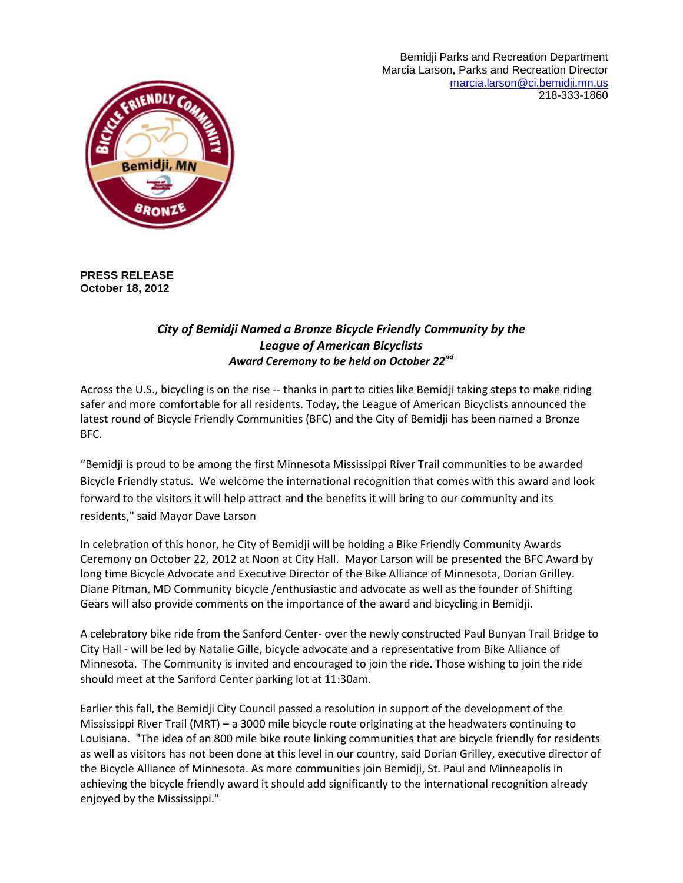Bemidji Parks and Recreation Department Marcia Larson, Parks and Recreation Director [marcia.larson@ci.bemidji.mn.us](mailto:marcia.larson@ci.bemidji.mn.us) 218-333-1860



**PRESS RELEASE October 18, 2012**

## *City of Bemidji Named a Bronze Bicycle Friendly Community by the League of American Bicyclists Award Ceremony to be held on October 22nd*

Across the U.S., bicycling is on the rise -- thanks in part to cities like Bemidji taking steps to make riding safer and more comfortable for all residents. Today, the League of American Bicyclists announced the latest round of Bicycle Friendly Communities (BFC) and the City of Bemidji has been named a Bronze BFC.

"Bemidji is proud to be among the first Minnesota Mississippi River Trail communities to be awarded Bicycle Friendly status. We welcome the international recognition that comes with this award and look forward to the visitors it will help attract and the benefits it will bring to our community and its residents," said Mayor Dave Larson

In celebration of this honor, he City of Bemidji will be holding a Bike Friendly Community Awards Ceremony on October 22, 2012 at Noon at City Hall. Mayor Larson will be presented the BFC Award by long time Bicycle Advocate and Executive Director of the Bike Alliance of Minnesota, Dorian Grilley. Diane Pitman, MD Community bicycle /enthusiastic and advocate as well as the founder of Shifting Gears will also provide comments on the importance of the award and bicycling in Bemidji.

A celebratory bike ride from the Sanford Center- over the newly constructed Paul Bunyan Trail Bridge to City Hall - will be led by Natalie Gille, bicycle advocate and a representative from Bike Alliance of Minnesota. The Community is invited and encouraged to join the ride. Those wishing to join the ride should meet at the Sanford Center parking lot at 11:30am.

Earlier this fall, the Bemidji City Council passed a resolution in support of the development of the Mississippi River Trail (MRT) – a 3000 mile bicycle route originating at the headwaters continuing to Louisiana. "The idea of an 800 mile bike route linking communities that are bicycle friendly for residents as well as visitors has not been done at this level in our country, said Dorian Grilley, executive director of the Bicycle Alliance of Minnesota. As more communities join Bemidji, St. Paul and Minneapolis in achieving the bicycle friendly award it should add significantly to the international recognition already enjoyed by the Mississippi."